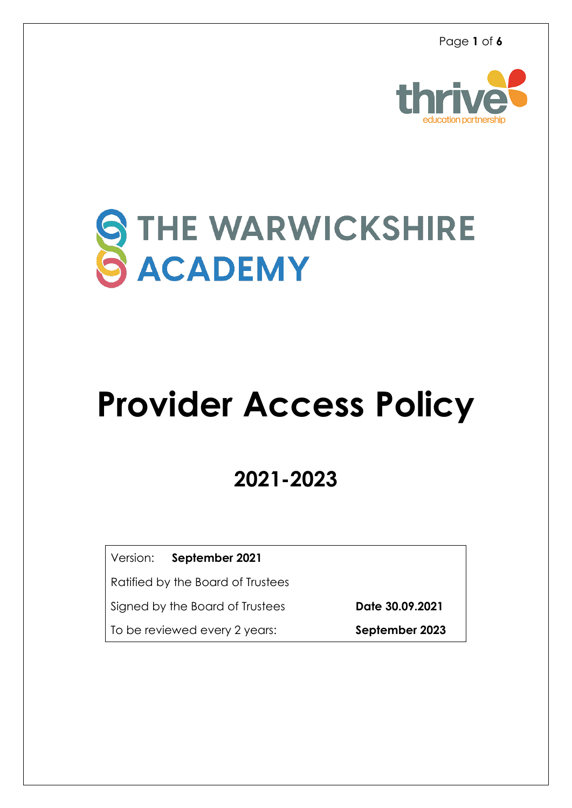Page **1** of **6**



# STHE WARWICKSHIRE

## **Provider Access Policy**

### **2021-2023**

Version: **September 2021**

Ratified by the Board of Trustees

Signed by the Board of Trustees**Date 30.09.2021**

To be reviewed every 2 years: **September 2023**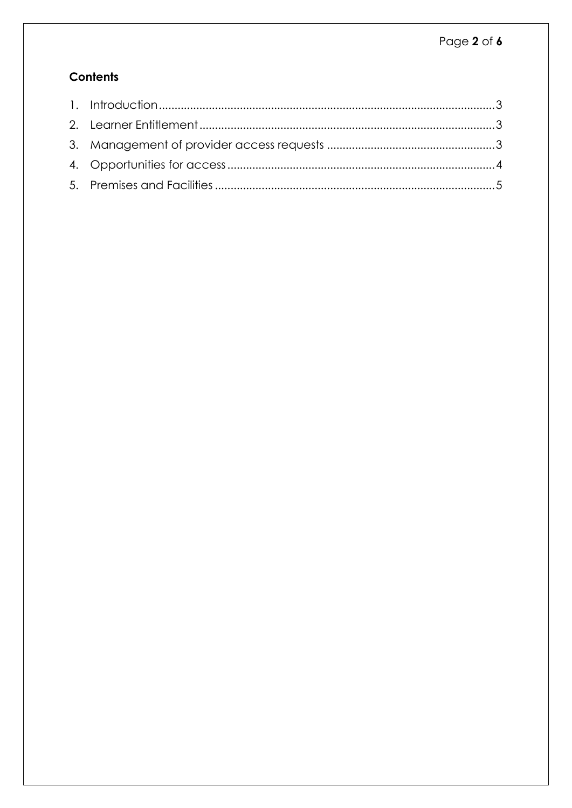#### **Contents**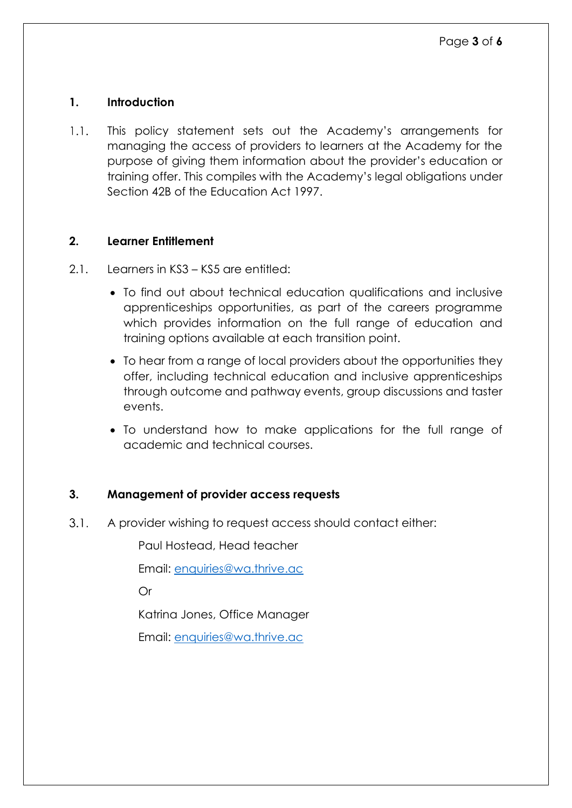#### <span id="page-2-0"></span>**1. Introduction**

 $1.1.$ This policy statement sets out the Academy's arrangements for managing the access of providers to learners at the Academy for the purpose of giving them information about the provider's education or training offer. This compiles with the Academy's legal obligations under Section 42B of the Education Act 1997.

#### <span id="page-2-1"></span>**2. Learner Entitlement**

- 2.1. Learners in KS3 KS5 are entitled:
	- To find out about technical education qualifications and inclusive apprenticeships opportunities, as part of the careers programme which provides information on the full range of education and training options available at each transition point.
	- To hear from a range of local providers about the opportunities they offer, including technical education and inclusive apprenticeships through outcome and pathway events, group discussions and taster events.
	- To understand how to make applications for the full range of academic and technical courses.

#### <span id="page-2-2"></span>**3. Management of provider access requests**

 $3.1.$ A provider wishing to request access should contact either:

Paul Hostead, Head teacher

Email: enquiries@wa.thrive.ac

Or

Katrina Jones, Office Manager

Email: [enquiries@wa.thrive.ac](mailto:enquiries@wa.thrive.ac)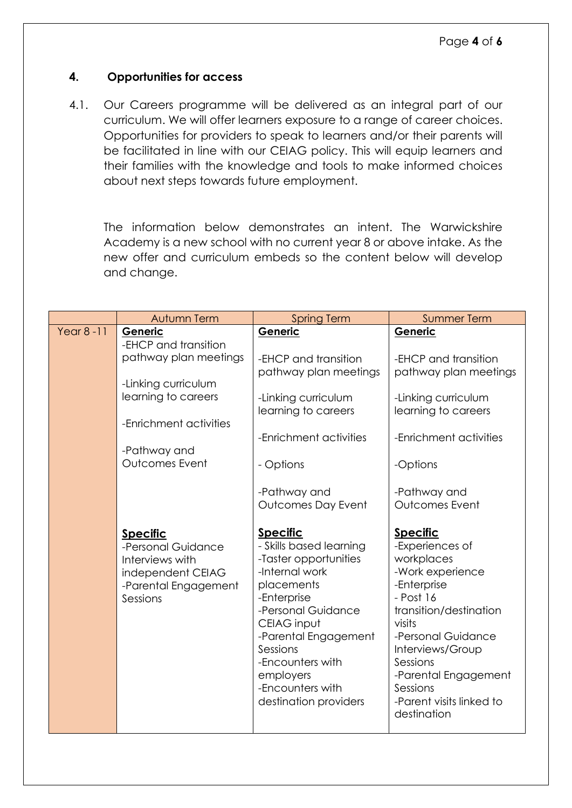#### <span id="page-3-0"></span>**4. Opportunities for access**

4.1. Our Careers programme will be delivered as an integral part of our curriculum. We will offer learners exposure to a range of career choices. Opportunities for providers to speak to learners and/or their parents will be facilitated in line with our CEIAG policy. This will equip learners and their families with the knowledge and tools to make informed choices about next steps towards future employment.

The information below demonstrates an intent. The Warwickshire Academy is a new school with no current year 8 or above intake. As the new offer and curriculum embeds so the content below will develop and change.

|               | Autumn Term                                                                                                       | <b>Spring Term</b>                                                                                                                                                                                                                                                        | <b>Summer Term</b>                                                                                                                                                                                                                                                        |
|---------------|-------------------------------------------------------------------------------------------------------------------|---------------------------------------------------------------------------------------------------------------------------------------------------------------------------------------------------------------------------------------------------------------------------|---------------------------------------------------------------------------------------------------------------------------------------------------------------------------------------------------------------------------------------------------------------------------|
| Year $8 - 11$ | Generic<br>-EHCP and transition                                                                                   | Generic                                                                                                                                                                                                                                                                   | Generic                                                                                                                                                                                                                                                                   |
|               | pathway plan meetings                                                                                             | -EHCP and transition<br>pathway plan meetings                                                                                                                                                                                                                             | -EHCP and transition<br>pathway plan meetings                                                                                                                                                                                                                             |
|               | -Linking curriculum<br>learning to careers                                                                        | -Linking curriculum<br>learning to careers                                                                                                                                                                                                                                | -Linking curriculum<br>learning to careers                                                                                                                                                                                                                                |
|               | -Enrichment activities                                                                                            | -Enrichment activities                                                                                                                                                                                                                                                    | -Enrichment activities                                                                                                                                                                                                                                                    |
|               | -Pathway and<br>Outcomes Event                                                                                    | - Options                                                                                                                                                                                                                                                                 | -Options                                                                                                                                                                                                                                                                  |
|               |                                                                                                                   | -Pathway and                                                                                                                                                                                                                                                              | -Pathway and                                                                                                                                                                                                                                                              |
|               |                                                                                                                   | Outcomes Day Event                                                                                                                                                                                                                                                        | Outcomes Event                                                                                                                                                                                                                                                            |
|               | <b>Specific</b><br>-Personal Guidance<br>Interviews with<br>independent CEIAG<br>-Parental Engagement<br>Sessions | <b>Specific</b><br>- Skills based learning<br>-Taster opportunities<br>-Internal work<br>placements<br>-Enterprise<br>-Personal Guidance<br>CEIAG input<br>-Parental Engagement<br>Sessions<br>-Encounters with<br>employers<br>-Encounters with<br>destination providers | <b>Specific</b><br>-Experiences of<br>workplaces<br>-Work experience<br>-Enterprise<br>- Post 16<br>transition/destination<br>visits<br>-Personal Guidance<br>Interviews/Group<br>Sessions<br>-Parental Engagement<br>Sessions<br>-Parent visits linked to<br>destination |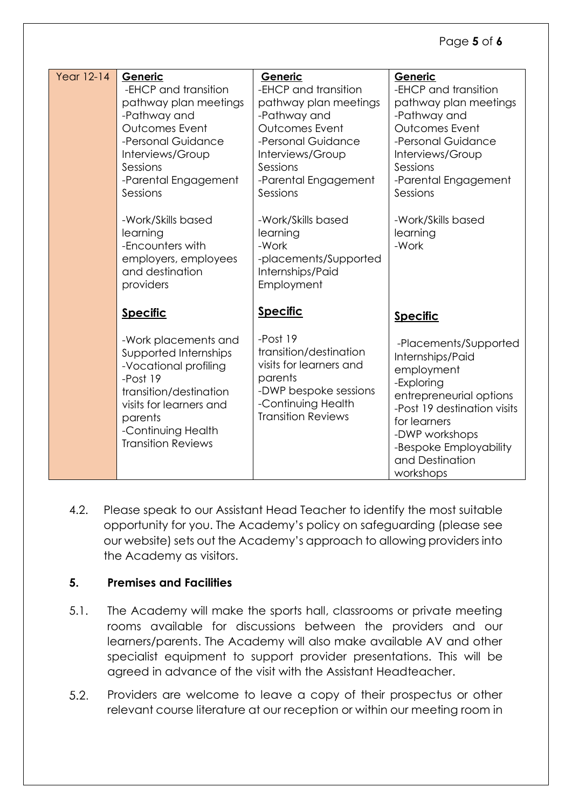#### Page **5** of **6**

| <b>Year 12-14</b> | Generic<br>-EHCP and transition<br>pathway plan meetings<br>-Pathway and<br>Outcomes Event<br>-Personal Guidance<br>Interviews/Group<br>Sessions<br>-Parental Engagement<br>Sessions<br>-Work/Skills based<br>learning<br>-Encounters with<br>employers, employees<br>and destination<br>providers | Generic<br>-EHCP and transition<br>pathway plan meetings<br>-Pathway and<br>Outcomes Event<br>-Personal Guidance<br>Interviews/Group<br>Sessions<br>-Parental Engagement<br>Sessions<br>-Work/Skills based<br>learning<br>-Work<br>-placements/Supported<br>Internships/Paid<br>Employment | Generic<br>-EHCP and transition<br>pathway plan meetings<br>-Pathway and<br>Outcomes Event<br>-Personal Guidance<br>Interviews/Group<br>Sessions<br>-Parental Engagement<br>Sessions<br>-Work/Skills based<br>learning<br>-Work |
|-------------------|----------------------------------------------------------------------------------------------------------------------------------------------------------------------------------------------------------------------------------------------------------------------------------------------------|--------------------------------------------------------------------------------------------------------------------------------------------------------------------------------------------------------------------------------------------------------------------------------------------|---------------------------------------------------------------------------------------------------------------------------------------------------------------------------------------------------------------------------------|
|                   | <b>Specific</b>                                                                                                                                                                                                                                                                                    | <b>Specific</b>                                                                                                                                                                                                                                                                            | <b>Specific</b>                                                                                                                                                                                                                 |
|                   | -Work placements and<br>Supported Internships<br>-Vocational profiling<br>-Post 19<br>transition/destination<br>visits for learners and<br>parents<br>-Continuing Health<br><b>Transition Reviews</b>                                                                                              | -Post 19<br>transition/destination<br>visits for learners and<br>parents<br>-DWP bespoke sessions<br>-Continuing Health<br><b>Transition Reviews</b>                                                                                                                                       | -Placements/Supported<br>Internships/Paid<br>employment<br>-Exploring<br>entrepreneurial options<br>-Post 19 destination visits<br>for learners<br>-DWP workshops<br>-Bespoke Employability<br>and Destination<br>workshops     |

4.2. Please speak to our Assistant Head Teacher to identify the most suitable opportunity for you. The Academy's policy on safeguarding (please see our website) sets out the Academy's approach to allowing providers into the Academy as visitors.

#### <span id="page-4-0"></span>**5. Premises and Facilities**

- 5.1. The Academy will make the sports hall, classrooms or private meeting rooms available for discussions between the providers and our learners/parents. The Academy will also make available AV and other specialist equipment to support provider presentations. This will be agreed in advance of the visit with the Assistant Headteacher.
- $5.2.$ Providers are welcome to leave a copy of their prospectus or other relevant course literature at our reception or within our meeting room in